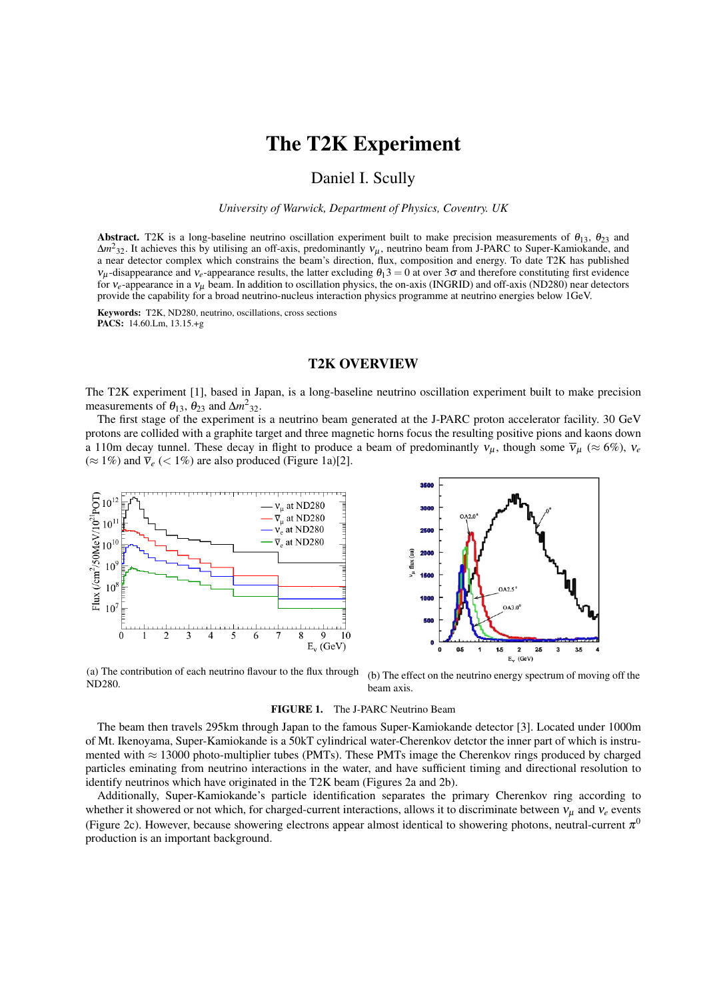# The T2K Experiment

## Daniel I. Scully

*University of Warwick, Department of Physics, Coventry. UK*

Abstract. T2K is a long-baseline neutrino oscillation experiment built to make precision measurements of  $\theta_{13}$ ,  $\theta_{23}$  and  $\Delta m^2_{32}$ . It achieves this by utilising an off-axis, predominantly  $v_\mu$ , neutrino beam from J-PARC to Super-Kamiokande, and a near detector complex which constrains the beam's direction, flux, composition and energy. To date T2K has published  $v_u$ -disappearance and  $v_e$ -appearance results, the latter excluding  $\theta_1$ 3 = 0 at over 3 $\sigma$  and therefore constituting first evidence for  $v_e$ -appearance in a  $v_u$  beam. In addition to oscillation physics, the on-axis (INGRID) and off-axis (ND280) near detectors provide the capability for a broad neutrino-nucleus interaction physics programme at neutrino energies below 1GeV.

Keywords: T2K, ND280, neutrino, oscillations, cross sections PACS: 14.60.Lm, 13.15.+g

### T2K OVERVIEW

The T2K experiment [1], based in Japan, is a long-baseline neutrino oscillation experiment built to make precision measurements of  $\theta_{13}$ ,  $\theta_{23}$  and  $\Delta m^2$ <sub>32</sub>.

The first stage of the experiment is a neutrino beam generated at the J-PARC proton accelerator facility. 30 GeV protons are collided with a graphite target and three magnetic horns focus the resulting positive pions and kaons down a 110m decay tunnel. These decay in flight to produce a beam of predominantly  $v_{\mu}$ , though some  $\overline{v}_{\mu}$  ( $\approx 6\%)$ ,  $v_e$  $(\approx 1\%)$  and  $\overline{v}_e$  (< 1%) are also produced (Figure 1a)[2].



(a) The contribution of each neutrino flavour to the flux through ND280. (b) The effect on the neutrino energy spectrum of moving off the beam axis.

#### FIGURE 1. The J-PARC Neutrino Beam

The beam then travels 295km through Japan to the famous Super-Kamiokande detector [3]. Located under 1000m of Mt. Ikenoyama, Super-Kamiokande is a 50kT cylindrical water-Cherenkov detctor the inner part of which is instrumented with ≈ 13000 photo-multiplier tubes (PMTs). These PMTs image the Cherenkov rings produced by charged particles eminating from neutrino interactions in the water, and have sufficient timing and directional resolution to identify neutrinos which have originated in the T2K beam (Figures 2a and 2b).

Additionally, Super-Kamiokande's particle identification separates the primary Cherenkov ring according to whether it showered or not which, for charged-current interactions, allows it to discriminate between  $v_\mu$  and  $v_e$  events (Figure 2c). However, because showering electrons appear almost identical to showering photons, neutral-current  $\pi^0$ production is an important background.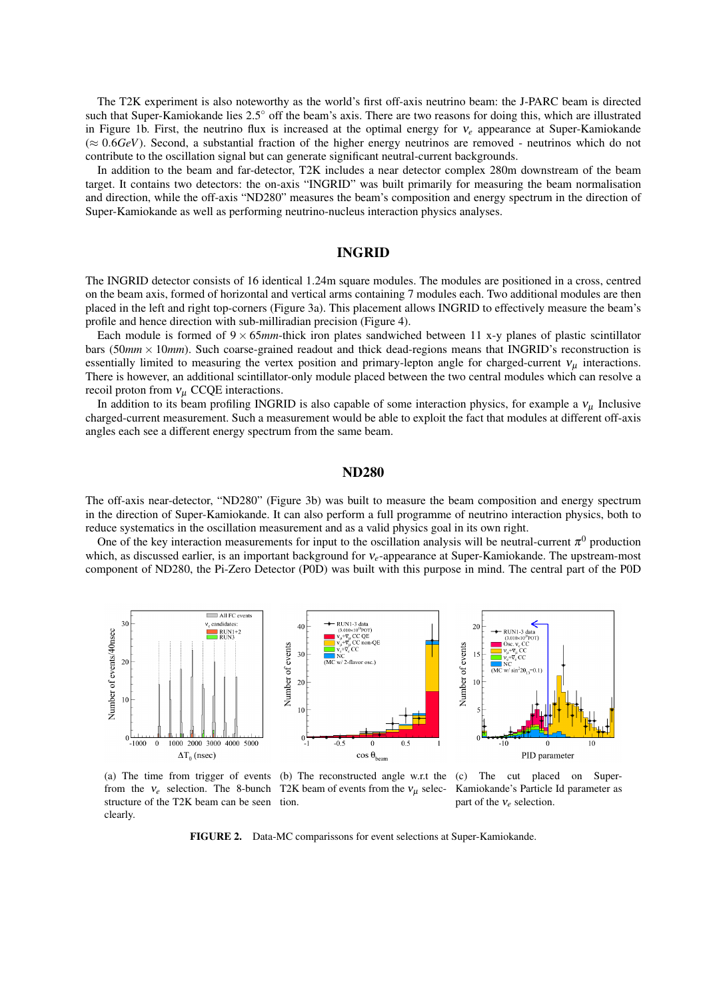The T2K experiment is also noteworthy as the world's first off-axis neutrino beam: the J-PARC beam is directed such that Super-Kamiokande lies 2.5° off the beam's axis. There are two reasons for doing this, which are illustrated in Figure 1b. First, the neutrino flux is increased at the optimal energy for ν*<sup>e</sup>* appearance at Super-Kamiokande  $(\approx 0.6GeV)$ . Second, a substantial fraction of the higher energy neutrinos are removed - neutrinos which do not contribute to the oscillation signal but can generate significant neutral-current backgrounds.

In addition to the beam and far-detector, T2K includes a near detector complex 280m downstream of the beam target. It contains two detectors: the on-axis "INGRID" was built primarily for measuring the beam normalisation and direction, while the off-axis "ND280" measures the beam's composition and energy spectrum in the direction of Super-Kamiokande as well as performing neutrino-nucleus interaction physics analyses.

#### INGRID

The INGRID detector consists of 16 identical 1.24m square modules. The modules are positioned in a cross, centred on the beam axis, formed of horizontal and vertical arms containing 7 modules each. Two additional modules are then placed in the left and right top-corners (Figure 3a). This placement allows INGRID to effectively measure the beam's profile and hence direction with sub-milliradian precision (Figure 4).

Each module is formed of  $9 \times 65$ *mm*-thick iron plates sandwiched between 11 x-y planes of plastic scintillator bars (50*mm* × 10*mm*). Such coarse-grained readout and thick dead-regions means that INGRID's reconstruction is essentially limited to measuring the vertex position and primary-lepton angle for charged-current  $v_{\mu}$  interactions. There is however, an additional scintillator-only module placed between the two central modules which can resolve a recoil proton from  $v_\mu$  CCQE interactions.

In addition to its beam profiling INGRID is also capable of some interaction physics, for example a  $v_\mu$  Inclusive charged-current measurement. Such a measurement would be able to exploit the fact that modules at different off-axis angles each see a different energy spectrum from the same beam.

#### ND280

The off-axis near-detector, "ND280" (Figure 3b) was built to measure the beam composition and energy spectrum in the direction of Super-Kamiokande. It can also perform a full programme of neutrino interaction physics, both to reduce systematics in the oscillation measurement and as a valid physics goal in its own right.

One of the key interaction measurements for input to the oscillation analysis will be neutral-current  $\pi^0$  production which, as discussed earlier, is an important background for ν*e*-appearance at Super-Kamiokande. The upstream-most component of ND280, the Pi-Zero Detector (P0D) was built with this purpose in mind. The central part of the P0D



(a) The time from trigger of events (b) The reconstructed angle w.r.t the (c) The cut placed on Superfrom the  $v_e$  selection. The 8-bunch T2K beam of events from the  $v_\mu$  selecstructure of the T2K beam can be seen tion. clearly.

Kamiokande's Particle Id parameter as part of the ν*e* selection.

FIGURE 2. Data-MC comparissons for event selections at Super-Kamiokande.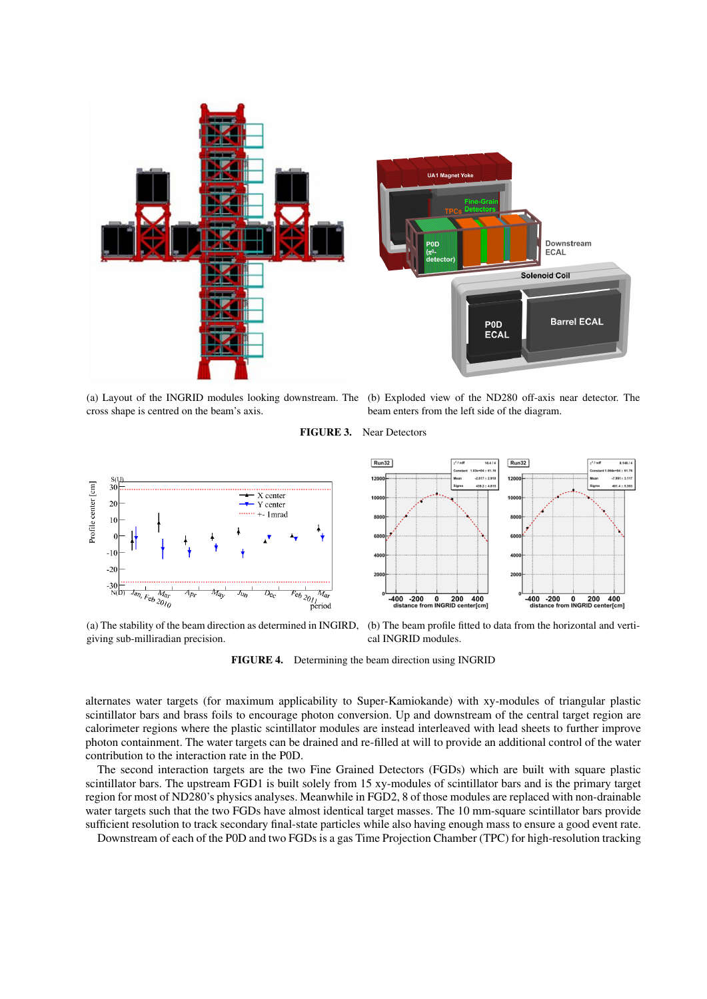

cross shape is centred on the beam's axis.

(a) Layout of the INGRID modules looking downstream. The (b) Exploded view of the ND280 off-axis near detector. The beam enters from the left side of the diagram.

FIGURE 3. Near Detectors



(a) The stability of the beam direction as determined in INGIRD, giving sub-milliradian precision.

(b) The beam profile fitted to data from the horizontal and vertical INGRID modules.

FIGURE 4. Determining the beam direction using INGRID

alternates water targets (for maximum applicability to Super-Kamiokande) with xy-modules of triangular plastic scintillator bars and brass foils to encourage photon conversion. Up and downstream of the central target region are calorimeter regions where the plastic scintillator modules are instead interleaved with lead sheets to further improve photon containment. The water targets can be drained and re-filled at will to provide an additional control of the water contribution to the interaction rate in the P0D.

The second interaction targets are the two Fine Grained Detectors (FGDs) which are built with square plastic scintillator bars. The upstream FGD1 is built solely from 15 xy-modules of scintillator bars and is the primary target region for most of ND280's physics analyses. Meanwhile in FGD2, 8 of those modules are replaced with non-drainable water targets such that the two FGDs have almost identical target masses. The 10 mm-square scintillator bars provide sufficient resolution to track secondary final-state particles while also having enough mass to ensure a good event rate.

Downstream of each of the P0D and two FGDs is a gas Time Projection Chamber (TPC) for high-resolution tracking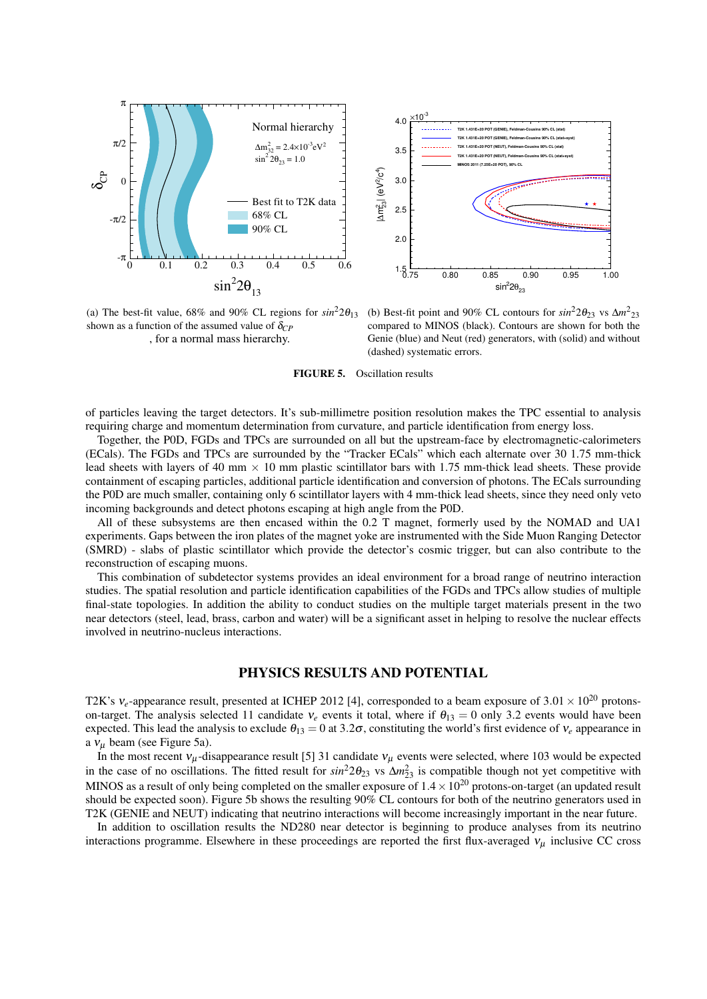



(a) The best-fit value,  $68\%$  and  $90\%$  CL regions for  $sin^2 2\theta_{13}$ shown as a function of the assumed value of  $\delta_{CP}$ , for a normal mass hierarchy.

(b) Best-fit point and 90% CL contours for  $sin^2 2\theta_{23}$  vs  $\Delta m^2_{23}$ compared to MINOS (black). Contours are shown for both the Genie (blue) and Neut (red) generators, with (solid) and without (dashed) systematic errors.

FIGURE 5. Oscillation results

of particles leaving the target detectors. It's sub-millimetre position resolution makes the TPC essential to analysis requiring charge and momentum determination from curvature, and particle identification from energy loss.

Together, the P0D, FGDs and TPCs are surrounded on all but the upstream-face by electromagnetic-calorimeters (ECals). The FGDs and TPCs are surrounded by the "Tracker ECals" which each alternate over 30 1.75 mm-thick lead sheets with layers of 40 mm  $\times$  10 mm plastic scintillator bars with 1.75 mm-thick lead sheets. These provide containment of escaping particles, additional particle identification and conversion of photons. The ECals surrounding the P0D are much smaller, containing only 6 scintillator layers with 4 mm-thick lead sheets, since they need only veto incoming backgrounds and detect photons escaping at high angle from the P0D.

All of these subsystems are then encased within the 0.2 T magnet, formerly used by the NOMAD and UA1 experiments. Gaps between the iron plates of the magnet yoke are instrumented with the Side Muon Ranging Detector (SMRD) - slabs of plastic scintillator which provide the detector's cosmic trigger, but can also contribute to the reconstruction of escaping muons.

This combination of subdetector systems provides an ideal environment for a broad range of neutrino interaction studies. The spatial resolution and particle identification capabilities of the FGDs and TPCs allow studies of multiple final-state topologies. In addition the ability to conduct studies on the multiple target materials present in the two near detectors (steel, lead, brass, carbon and water) will be a significant asset in helping to resolve the nuclear effects involved in neutrino-nucleus interactions.

## PHYSICS RESULTS AND POTENTIAL

T2K's  $v_e$ -appearance result, presented at ICHEP 2012 [4], corresponded to a beam exposure of  $3.01 \times 10^{20}$  protonson-target. The analysis selected 11 candidate  $v_e$  events it total, where if  $\theta_{13} = 0$  only 3.2 events would have been expected. This lead the analysis to exclude  $\theta_{13} = 0$  at 3.2 $\sigma$ , constituting the world's first evidence of  $v_e$  appearance in a  $v_\mu$  beam (see Figure 5a).

In the most recent  $v_\mu$ -disappearance result [5] 31 candidate  $v_\mu$  events were selected, where 103 would be expected in the case of no oscillations. The fitted result for  $sin^2 2\theta_{23}$  vs  $\Delta m_{23}^2$  is compatible though not yet competitive with MINOS as a result of only being completed on the smaller exposure of  $1.4\times10^{20}$  protons-on-target (an updated result should be expected soon). Figure 5b shows the resulting 90% CL contours for both of the neutrino generators used in T2K (GENIE and NEUT) indicating that neutrino interactions will become increasingly important in the near future.

In addition to oscillation results the ND280 near detector is beginning to produce analyses from its neutrino interactions programme. Elsewhere in these proceedings are reported the first flux-averaged  $v_\mu$  inclusive CC cross